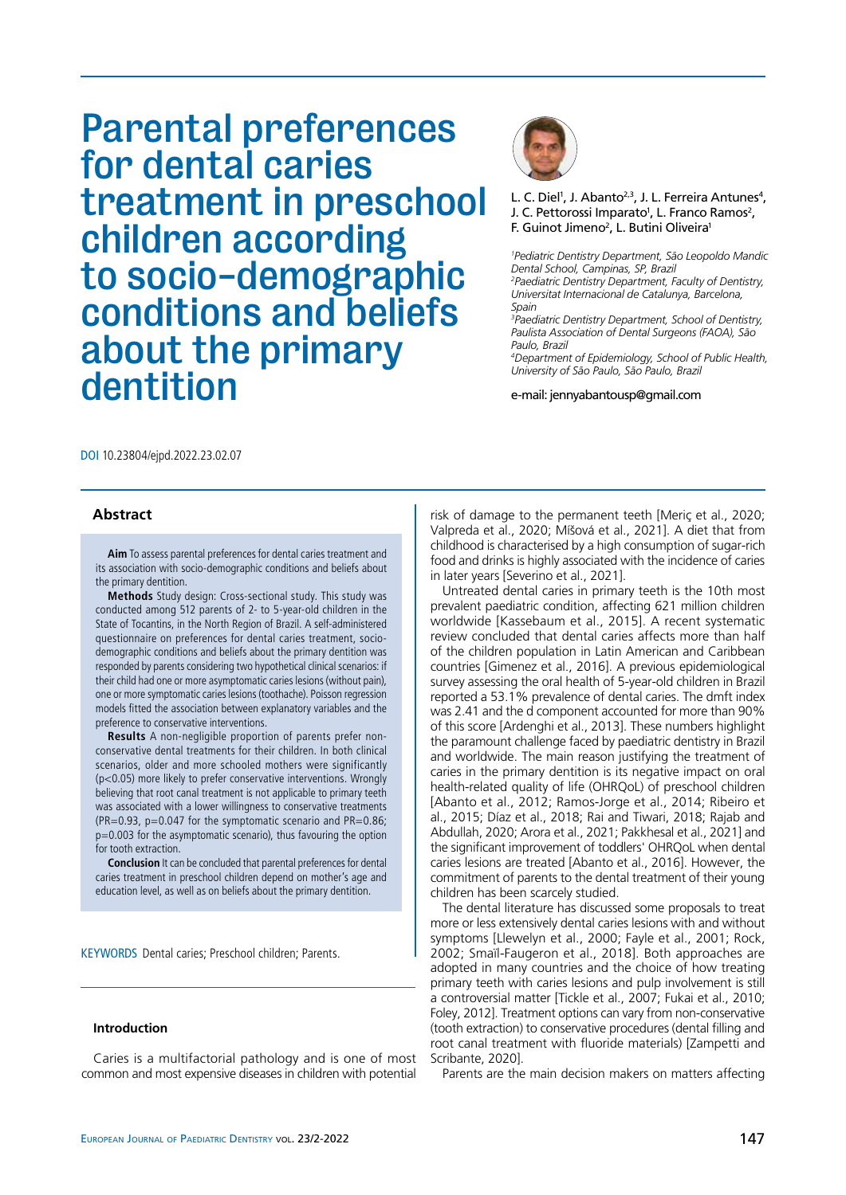# Parental preferences for dental caries treatment in preschool children according to socio-demographic conditions and beliefs about the primary dentition



L. C. Diel<sup>1</sup>, J. Abanto<sup>2,3</sup>, J. L. Ferreira Antunes<sup>4</sup>, J. C. Pettorossi Imparato<sup>1</sup>, L. Franco Ramos<sup>2</sup>, F. Guinot Jimeno<sup>2</sup>, L. Butini Oliveira<sup>1</sup>

*1 Pediatric Dentistry Department, São Leopoldo Mandic Dental School, Campinas, SP, Brazil 2 Paediatric Dentistry Department, Faculty of Dentistry, Universitat Internacional de Catalunya, Barcelona, Spain*

*3 Paediatric Dentistry Department, School of Dentistry, Paulista Association of Dental Surgeons (FAOA), São Paulo, Brazil*

*4 Department of Epidemiology, School of Public Health, University of São Paulo, São Paulo, Brazil*

e-mail: jennyabantousp@gmail.com

DOI 10.23804/ejpd.2022.23.02.07

# **Abstract**

**Aim** To assess parental preferences for dental caries treatment and its association with socio-demographic conditions and beliefs about the primary dentition.

**Methods** Study design: Cross-sectional study. This study was conducted among 512 parents of 2- to 5-year-old children in the State of Tocantins, in the North Region of Brazil. A self-administered questionnaire on preferences for dental caries treatment, sociodemographic conditions and beliefs about the primary dentition was responded by parents considering two hypothetical clinical scenarios: if their child had one or more asymptomatic caries lesions (without pain), one or more symptomatic caries lesions (toothache). Poisson regression models fitted the association between explanatory variables and the preference to conservative interventions.

**Results** A non-negligible proportion of parents prefer nonconservative dental treatments for their children. In both clinical scenarios, older and more schooled mothers were significantly (p<0.05) more likely to prefer conservative interventions. Wrongly believing that root canal treatment is not applicable to primary teeth was associated with a lower willingness to conservative treatments (PR=0.93,  $p=0.047$  for the symptomatic scenario and PR=0.86; p=0.003 for the asymptomatic scenario), thus favouring the option for tooth extraction.

**Conclusion** It can be concluded that parental preferences for dental caries treatment in preschool children depend on mother's age and education level, as well as on beliefs about the primary dentition.

KEYWORDS Dental caries; Preschool children; Parents.

## **Introduction**

Caries is a multifactorial pathology and is one of most common and most expensive diseases in children with potential

risk of damage to the permanent teeth [Meriç et al., 2020; Valpreda et al., 2020; Míšová et al., 2021]. A diet that from childhood is characterised by a high consumption of sugar-rich food and drinks is highly associated with the incidence of caries in later years [Severino et al., 2021].

Untreated dental caries in primary teeth is the 10th most prevalent paediatric condition, affecting 621 million children worldwide [Kassebaum et al., 2015]. A recent systematic review concluded that dental caries affects more than half of the children population in Latin American and Caribbean countries [Gimenez et al., 2016]. A previous epidemiological survey assessing the oral health of 5-year-old children in Brazil reported a 53.1% prevalence of dental caries. The dmft index was 2.41 and the d component accounted for more than 90% of this score [Ardenghi et al., 2013]. These numbers highlight the paramount challenge faced by paediatric dentistry in Brazil and worldwide. The main reason justifying the treatment of caries in the primary dentition is its negative impact on oral health-related quality of life (OHRQoL) of preschool children [Abanto et al., 2012; Ramos-Jorge et al., 2014; Ribeiro et al., 2015; Díaz et al., 2018; Rai and Tiwari, 2018; Rajab and Abdullah, 2020; Arora et al., 2021; Pakkhesal et al., 2021] and the significant improvement of toddlers' OHRQoL when dental caries lesions are treated [Abanto et al., 2016]. However, the commitment of parents to the dental treatment of their young children has been scarcely studied.

The dental literature has discussed some proposals to treat more or less extensively dental caries lesions with and without symptoms [Llewelyn et al., 2000; Fayle et al., 2001; Rock, 2002; Smaïl-Faugeron et al., 2018]. Both approaches are adopted in many countries and the choice of how treating primary teeth with caries lesions and pulp involvement is still a controversial matter [Tickle et al., 2007; Fukai et al., 2010; Foley, 2012]. Treatment options can vary from non-conservative (tooth extraction) to conservative procedures (dental filling and root canal treatment with fluoride materials) [Zampetti and Scribante, 2020].

Parents are the main decision makers on matters affecting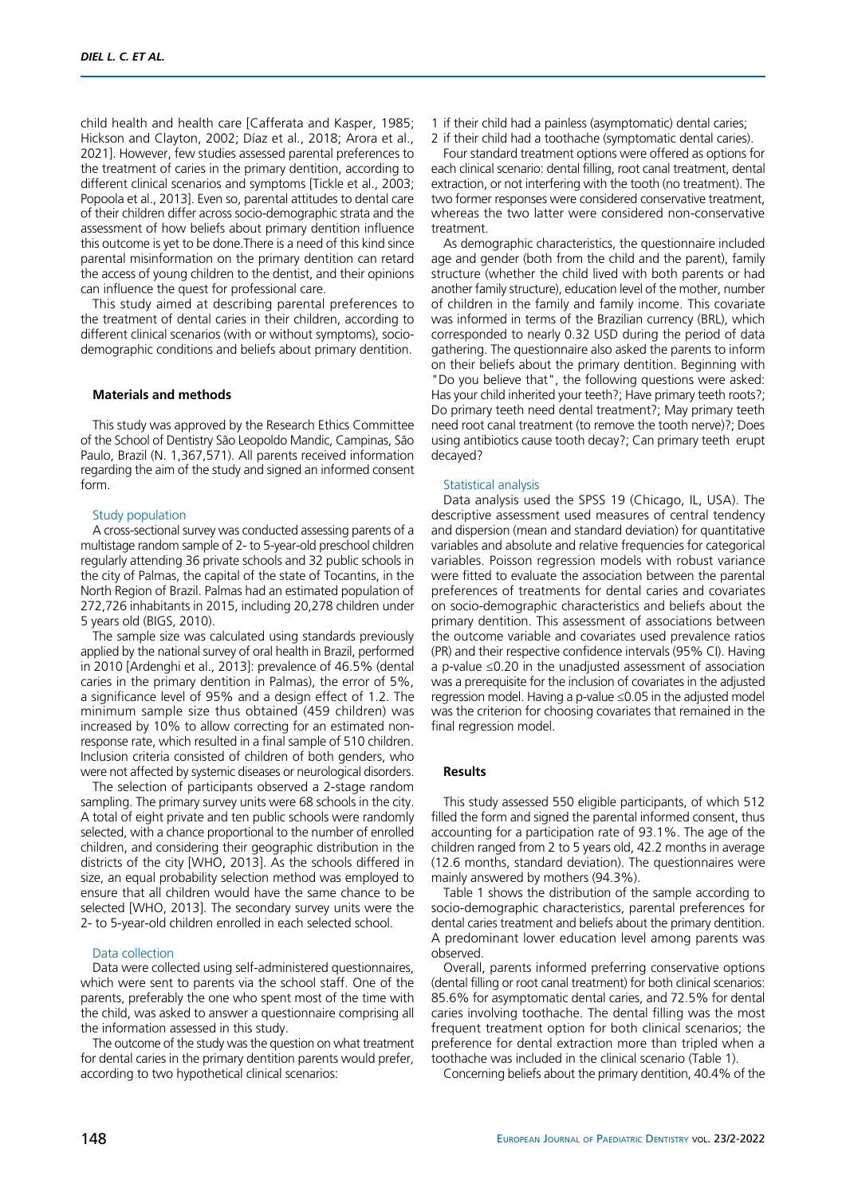child health and health care [Cafferata and Kasper, 1985; Hickson and Clayton, 2002; Díaz et al., 2018; Arora et al., 2021]. However, few studies assessed parental preferences to the treatment of caries in the primary dentition, according to different clinical scenarios and symptoms [Tickle et al., 2003; Popoola et al., 2013]. Even so, parental attitudes to dental care of their children differ across socio-demographic strata and the assessment of how beliefs about primary dentition influence this outcome is yet to be done.There is a need of this kind since parental misinformation on the primary dentition can retard the access of young children to the dentist, and their opinions can influence the quest for professional care.

This study aimed at describing parental preferences to the treatment of dental caries in their children, according to different clinical scenarios (with or without symptoms), sociodemographic conditions and beliefs about primary dentition.

# **Materials and methods**

This study was approved by the Research Ethics Committee of the School of Dentistry São Leopoldo Mandic, Campinas, São Paulo, Brazil (N. 1,367,571). All parents received information regarding the aim of the study and signed an informed consent form.

#### Study population

A cross-sectional survey was conducted assessing parents of a multistage random sample of 2- to 5-year-old preschool children regularly attending 36 private schools and 32 public schools in the city of Palmas, the capital of the state of Tocantins, in the North Region of Brazil. Palmas had an estimated population of 272,726 inhabitants in 2015, including 20,278 children under 5 years old (BIGS, 2010).

The sample size was calculated using standards previously applied by the national survey of oral health in Brazil, performed in 2010 [Ardenghi et al., 2013]: prevalence of 46.5% (dental caries in the primary dentition in Palmas), the error of 5%, a significance level of 95% and a design effect of 1.2. The minimum sample size thus obtained (459 children) was increased by 10% to allow correcting for an estimated nonresponse rate, which resulted in a final sample of 510 children. Inclusion criteria consisted of children of both genders, who were not affected by systemic diseases or neurological disorders.

The selection of participants observed a 2-stage random sampling. The primary survey units were 68 schools in the city. A total of eight private and ten public schools were randomly selected, with a chance proportional to the number of enrolled children, and considering their geographic distribution in the districts of the city [WHO, 2013]. As the schools differed in size, an equal probability selection method was employed to ensure that all children would have the same chance to be selected [WHO, 2013]. The secondary survey units were the 2- to 5-year-old children enrolled in each selected school.

#### Data collection

Data were collected using self-administered questionnaires, which were sent to parents via the school staff. One of the parents, preferably the one who spent most of the time with the child, was asked to answer a questionnaire comprising all the information assessed in this study.

The outcome of the study was the question on what treatment for dental caries in the primary dentition parents would prefer, according to two hypothetical clinical scenarios:

- 1 if their child had a painless (asymptomatic) dental caries;
- 2 if their child had a toothache (symptomatic dental caries).

Four standard treatment options were offered as options for each clinical scenario: dental filling, root canal treatment, dental extraction, or not interfering with the tooth (no treatment). The two former responses were considered conservative treatment, whereas the two latter were considered non-conservative treatment.

As demographic characteristics, the questionnaire included age and gender (both from the child and the parent), family structure (whether the child lived with both parents or had another family structure), education level of the mother, number of children in the family and family income. This covariate was informed in terms of the Brazilian currency (BRL), which corresponded to nearly 0.32 USD during the period of data gathering. The questionnaire also asked the parents to inform on their beliefs about the primary dentition. Beginning with "Do you believe that", the following questions were asked: Has your child inherited your teeth?; Have primary teeth roots?; Do primary teeth need dental treatment?; May primary teeth need root canal treatment (to remove the tooth nerve)?; Does using antibiotics cause tooth decay?; Can primary teeth erupt decayed?

#### Statistical analysis

Data analysis used the SPSS 19 (Chicago, IL, USA). The descriptive assessment used measures of central tendency and dispersion (mean and standard deviation) for quantitative variables and absolute and relative frequencies for categorical variables. Poisson regression models with robust variance were fitted to evaluate the association between the parental preferences of treatments for dental caries and covariates on socio-demographic characteristics and beliefs about the primary dentition. This assessment of associations between the outcome variable and covariates used prevalence ratios (PR) and their respective confidence intervals (95% CI). Having a p-value ≤0.20 in the unadjusted assessment of association was a prerequisite for the inclusion of covariates in the adjusted regression model. Having a p-value ≤0.05 in the adjusted model was the criterion for choosing covariates that remained in the final regression model.

#### **Results**

This study assessed 550 eligible participants, of which 512 filled the form and signed the parental informed consent, thus accounting for a participation rate of 93.1%. The age of the children ranged from 2 to 5 years old, 42.2 months in average (12.6 months, standard deviation). The questionnaires were mainly answered by mothers (94.3%).

Table 1 shows the distribution of the sample according to socio-demographic characteristics, parental preferences for dental caries treatment and beliefs about the primary dentition. A predominant lower education level among parents was observed.

Overall, parents informed preferring conservative options (dental filling or root canal treatment) for both clinical scenarios: 85.6% for asymptomatic dental caries, and 72.5% for dental caries involving toothache. The dental filling was the most frequent treatment option for both clinical scenarios; the preference for dental extraction more than tripled when a toothache was included in the clinical scenario (Table 1).

Concerning beliefs about the primary dentition, 40.4% of the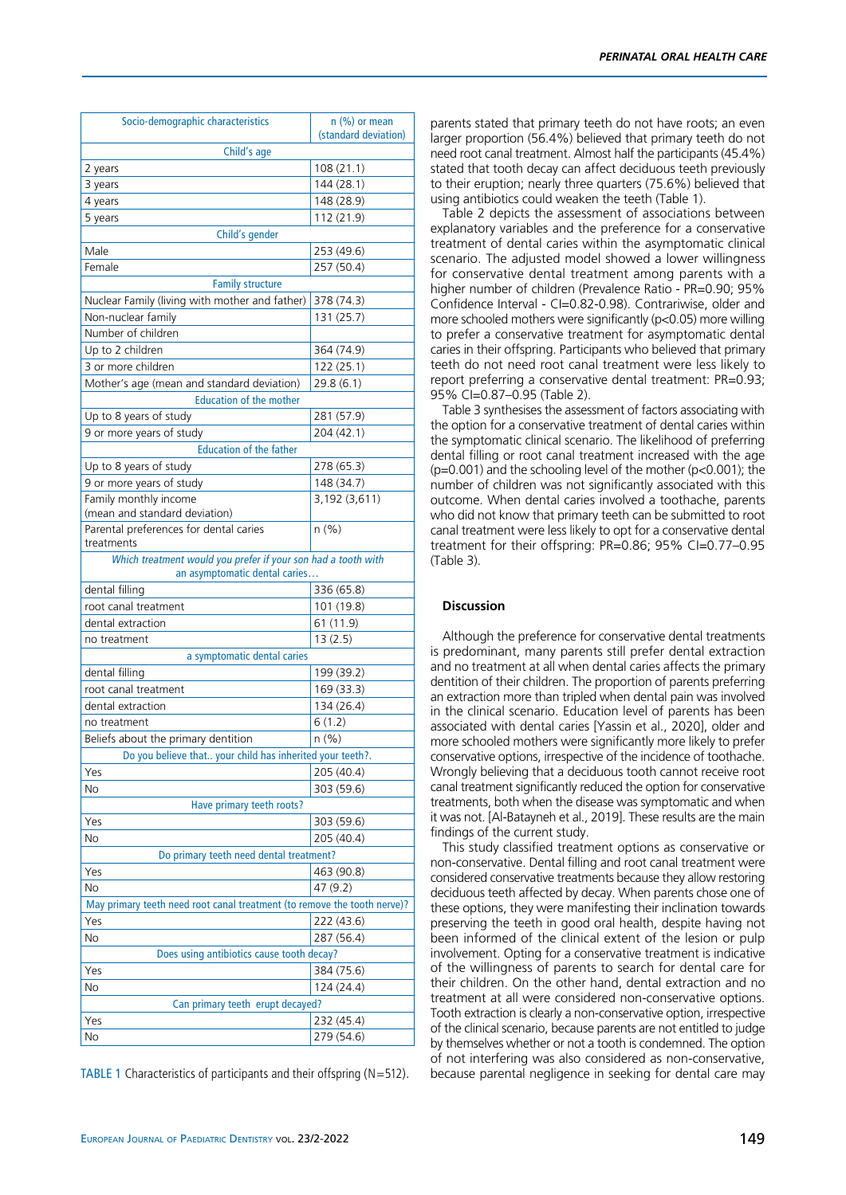TABLE 1 Characteristics of participants and their offspring (N=512).

parents stated that primary teeth do not have roots; an even larger proportion (56.4%) believed that primary teeth do not need root canal treatment. Almost half the participants (45.4%) stated that tooth decay can affect deciduous teeth previously to their eruption; nearly three quarters (75.6%) believed that using antibiotics could weaken the teeth (Table 1).

Table 2 depicts the assessment of associations between explanatory variables and the preference for a conservative treatment of dental caries within the asymptomatic clinical scenario. The adjusted model showed a lower willingness for conservative dental treatment among parents with a higher number of children (Prevalence Ratio - PR=0.90; 95% Confidence Interval - CI=0.82-0.98). Contrariwise, older and more schooled mothers were significantly (p<0.05) more willing to prefer a conservative treatment for asymptomatic dental caries in their offspring. Participants who believed that primary teeth do not need root canal treatment were less likely to report preferring a conservative dental treatment: PR=0.93; 95% CI=0.87–0.95 (Table 2).

Table 3 synthesises the assessment of factors associating with the option for a conservative treatment of dental caries within the symptomatic clinical scenario. The likelihood of preferring dental filling or root canal treatment increased with the age  $(p=0.001)$  and the schooling level of the mother  $(p<0.001)$ ; the number of children was not significantly associated with this outcome. When dental caries involved a toothache, parents who did not know that primary teeth can be submitted to root canal treatment were less likely to opt for a conservative dental treatment for their offspring: PR=0.86; 95% CI=0.77–0.95 (Table 3).

## **Discussion**

Although the preference for conservative dental treatments is predominant, many parents still prefer dental extraction and no treatment at all when dental caries affects the primary dentition of their children. The proportion of parents preferring an extraction more than tripled when dental pain was involved in the clinical scenario. Education level of parents has been associated with dental caries [Yassin et al., 2020], older and more schooled mothers were significantly more likely to prefer conservative options, irrespective of the incidence of toothache. Wrongly believing that a deciduous tooth cannot receive root canal treatment significantly reduced the option for conservative treatments, both when the disease was symptomatic and when it was not. [Al-Batayneh et al., 2019]. These results are the main findings of the current study.

This study classified treatment options as conservative or non-conservative. Dental filling and root canal treatment were considered conservative treatments because they allow restoring deciduous teeth affected by decay. When parents chose one of these options, they were manifesting their inclination towards preserving the teeth in good oral health, despite having not been informed of the clinical extent of the lesion or pulp involvement. Opting for a conservative treatment is indicative of the willingness of parents to search for dental care for their children. On the other hand, dental extraction and no treatment at all were considered non-conservative options. Tooth extraction is clearly a non-conservative option, irrespective of the clinical scenario, because parents are not entitled to judge by themselves whether or not a tooth is condemned. The option of not interfering was also considered as non-conservative, because parental negligence in seeking for dental care may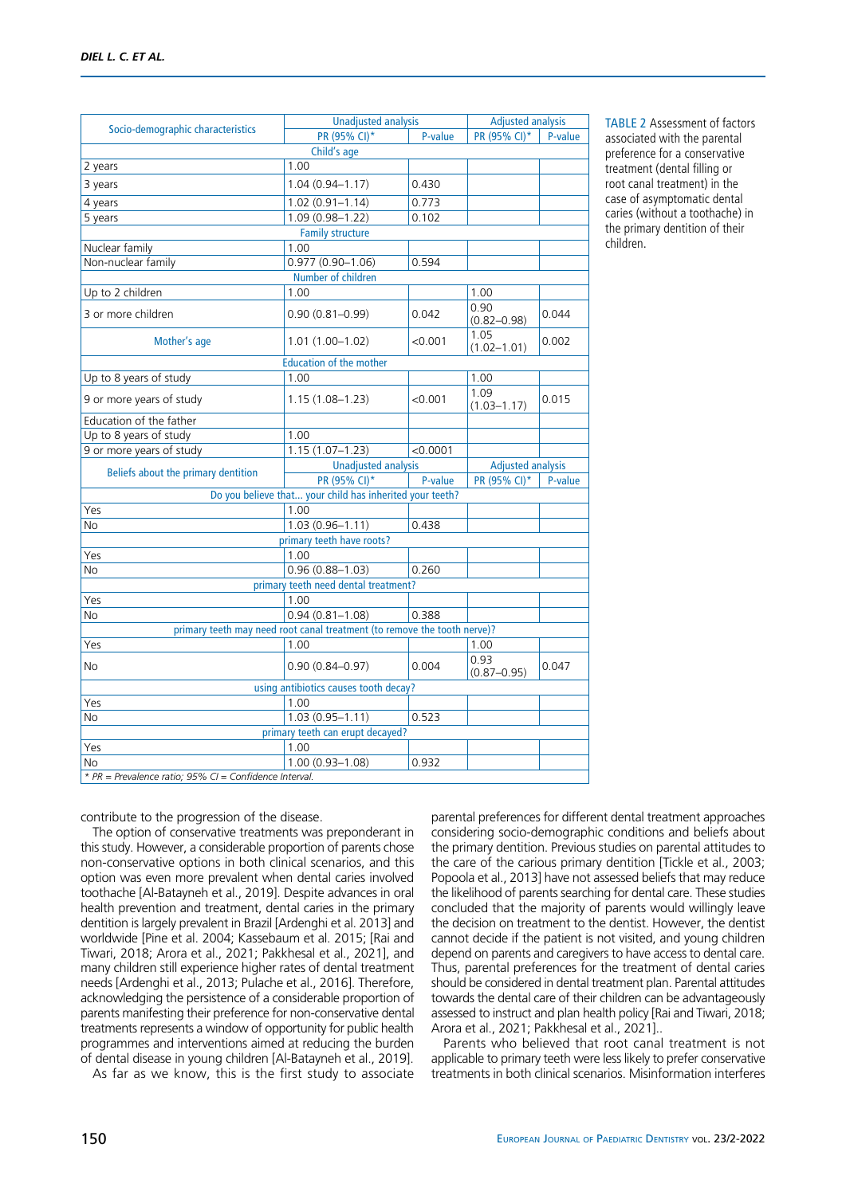|                                     | <b>Unadjusted analysis</b>                                               |          | <b>Adjusted analysis</b> |         |
|-------------------------------------|--------------------------------------------------------------------------|----------|--------------------------|---------|
| Socio-demographic characteristics   | PR (95% CI)*                                                             | P-value  | PR (95% CI)*             | P-value |
|                                     | Child's age                                                              |          |                          |         |
| 2 years                             | 1.00                                                                     |          |                          |         |
| 3 years                             | $1.04(0.94 - 1.17)$                                                      | 0.430    |                          |         |
| 4 years                             | $1.02(0.91 - 1.14)$                                                      | 0.773    |                          |         |
| 5 years                             | 1.09 (0.98-1.22)                                                         | 0.102    |                          |         |
|                                     | <b>Family structure</b>                                                  |          |                          |         |
| Nuclear family                      | 1.00                                                                     |          |                          |         |
| Non-nuclear family                  | $0.977(0.90 - 1.06)$                                                     | 0.594    |                          |         |
|                                     | Number of children                                                       |          |                          |         |
| Up to 2 children                    | 1.00                                                                     |          | 1.00                     |         |
| 3 or more children                  | $0.90(0.81 - 0.99)$                                                      | 0.042    | 0.90<br>$(0.82 - 0.98)$  | 0.044   |
| Mother's age                        | $1.01(1.00 - 1.02)$                                                      | < 0.001  | 1.05<br>$(1.02 - 1.01)$  | 0.002   |
|                                     | <b>Education of the mother</b>                                           |          |                          |         |
| Up to 8 years of study              | 1.00                                                                     |          | 1.00                     |         |
| 9 or more years of study            | $1.15(1.08 - 1.23)$                                                      | < 0.001  | 1.09<br>$(1.03 - 1.17)$  | 0.015   |
| Education of the father             |                                                                          |          |                          |         |
| Up to 8 years of study              | 1.00                                                                     |          |                          |         |
| 9 or more years of study            | $1.15(1.07 - 1.23)$                                                      | < 0.0001 |                          |         |
| Beliefs about the primary dentition | <b>Unadjusted analysis</b>                                               |          | <b>Adjusted analysis</b> |         |
|                                     | PR (95% CI)*                                                             | P-value  | PR (95% CI)*             | P-value |
|                                     | Do you believe that your child has inherited your teeth?                 |          |                          |         |
| Yes                                 | 1.00                                                                     |          |                          |         |
| No                                  | $1.03(0.96 - 1.11)$                                                      | 0.438    |                          |         |
|                                     | primary teeth have roots?                                                |          |                          |         |
| Yes                                 | 1.00                                                                     |          |                          |         |
| No                                  | $0.96(0.88 - 1.03)$                                                      | 0.260    |                          |         |
|                                     |                                                                          |          |                          |         |
|                                     | primary teeth need dental treatment?                                     |          |                          |         |
| Yes                                 | 1.00                                                                     |          |                          |         |
| No                                  | $0.94(0.81 - 1.08)$                                                      | 0.388    |                          |         |
|                                     | primary teeth may need root canal treatment (to remove the tooth nerve)? |          |                          |         |
| Yes                                 | 1.00                                                                     |          | 1.00                     |         |
| No                                  | $0.90(0.84 - 0.97)$                                                      | 0.004    | 0.93<br>$(0.87 - 0.95)$  | 0.047   |
|                                     | using antibiotics causes tooth decay?                                    |          |                          |         |
| Yes                                 | 1.00                                                                     |          |                          |         |
| No                                  | $1.03(0.95 - 1.11)$                                                      | 0.523    |                          |         |
|                                     | primary teeth can erupt decayed?                                         |          |                          |         |
| Yes<br>No                           | 1.00<br>$1.00(0.93 - 1.08)$                                              | 0.932    |                          |         |

TABLE 2 Assessment of factors associated with the parental preference for a conservative treatment (dental filling or root canal treatment) in the case of asymptomatic dental caries (without a toothache) in the primary dentition of their children.

*\* PR = Prevalence ratio; 95% CI = Confidence Interval.*

contribute to the progression of the disease.

The option of conservative treatments was preponderant in this study. However, a considerable proportion of parents chose non-conservative options in both clinical scenarios, and this option was even more prevalent when dental caries involved toothache [Al-Batayneh et al., 2019]. Despite advances in oral health prevention and treatment, dental caries in the primary dentition is largely prevalent in Brazil [Ardenghi et al. 2013] and worldwide [Pine et al. 2004; Kassebaum et al. 2015; [Rai and Tiwari, 2018; Arora et al., 2021; Pakkhesal et al., 2021], and many children still experience higher rates of dental treatment needs [Ardenghi et al., 2013; Pulache et al., 2016]. Therefore, acknowledging the persistence of a considerable proportion of parents manifesting their preference for non-conservative dental treatments represents a window of opportunity for public health programmes and interventions aimed at reducing the burden of dental disease in young children [Al-Batayneh et al., 2019].

As far as we know, this is the first study to associate

parental preferences for different dental treatment approaches considering socio-demographic conditions and beliefs about the primary dentition. Previous studies on parental attitudes to the care of the carious primary dentition [Tickle et al., 2003; Popoola et al., 2013] have not assessed beliefs that may reduce the likelihood of parents searching for dental care. These studies concluded that the majority of parents would willingly leave the decision on treatment to the dentist. However, the dentist cannot decide if the patient is not visited, and young children depend on parents and caregivers to have access to dental care. Thus, parental preferences for the treatment of dental caries should be considered in dental treatment plan. Parental attitudes towards the dental care of their children can be advantageously assessed to instruct and plan health policy [Rai and Tiwari, 2018; Arora et al., 2021; Pakkhesal et al., 2021]..

Parents who believed that root canal treatment is not applicable to primary teeth were less likely to prefer conservative treatments in both clinical scenarios. Misinformation interferes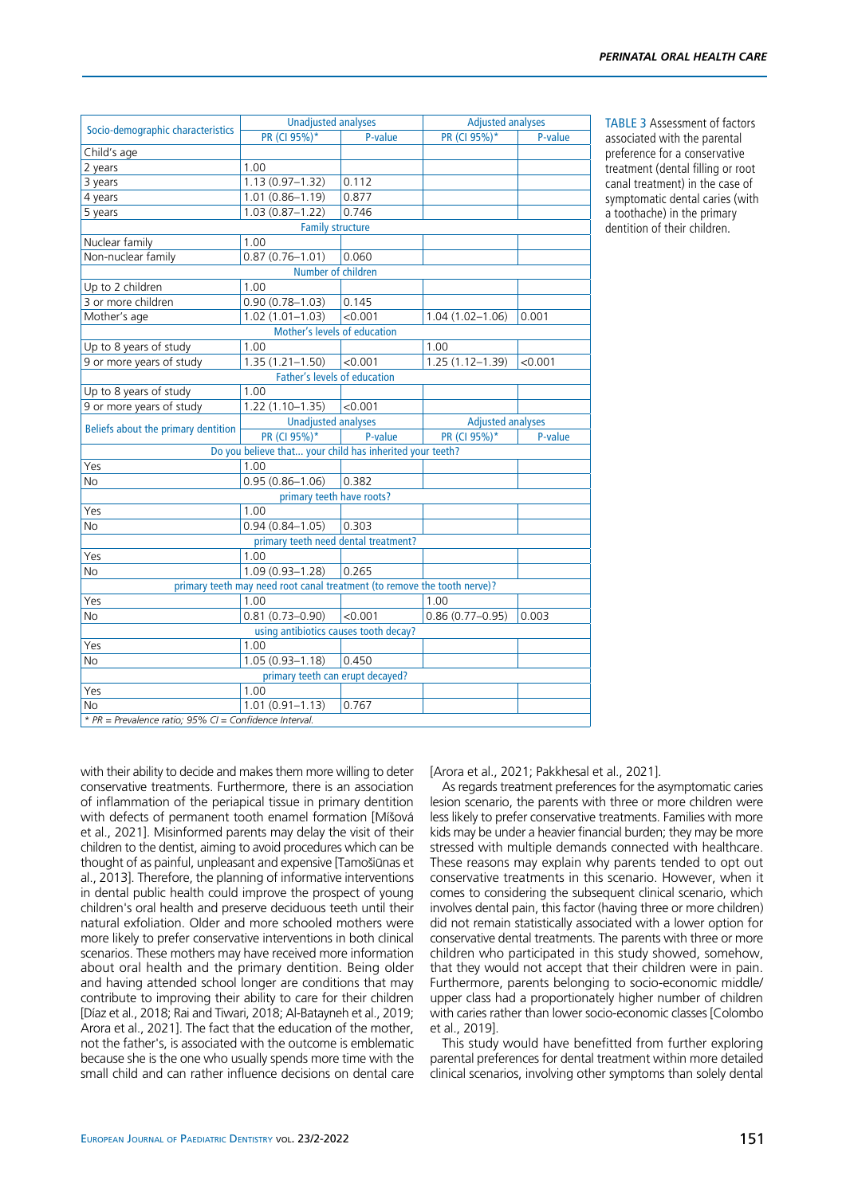| PR (CI 95%)*<br>PR (CI 95%)*<br>P-value<br>P-value<br>1.00<br>$1.13(0.97 - 1.32)$<br>0.112<br>0.877<br>$1.01(0.86 - 1.19)$<br>0.746<br>$1.03(0.87 - 1.22)$<br><b>Family structure</b><br>1.00<br>$0.87(0.76 - 1.01)$<br>0.060<br>Number of children<br>1.00<br>$0.90(0.78 - 1.03)$<br>0.145<br>< 0.001<br>$1.02(1.01 - 1.03)$<br>$1.04(1.02 - 1.06)$<br>0.001<br>Mother's levels of education<br>1.00<br>1.00<br>$1.35(1.21 - 1.50)$<br>1.25 (1.12-1.39)<br>< 0.001<br>< 0.001<br><b>Father's levels of education</b><br>1.00<br>9 or more years of study<br>$1.22(1.10 - 1.35)$<br>< 0.001<br><b>Unadjusted analyses</b><br><b>Adjusted analyses</b><br>Beliefs about the primary dentition<br>PR (CI 95%)*<br>P-value<br>PR (CI 95%)*<br>P-value<br>Do you believe that your child has inherited your teeth?<br>1.00<br>$0.95(0.86 - 1.06)$<br>0.382<br>primary teeth have roots?<br>1.00<br>$0.94(0.84 - 1.05)$<br>0.303<br>primary teeth need dental treatment?<br>1.00<br>$1.09(0.93 - 1.28)$<br>0.265<br>primary teeth may need root canal treatment (to remove the tooth nerve)?<br>1.00<br>1.00<br>$0.81(0.73 - 0.90)$<br>$0.86(0.77 - 0.95)$<br>< 0.001<br>0.003<br>using antibiotics causes tooth decay? |                                   | <b>Unadjusted analyses</b> |  | <b>Adjusted analyses</b> |  |
|--------------------------------------------------------------------------------------------------------------------------------------------------------------------------------------------------------------------------------------------------------------------------------------------------------------------------------------------------------------------------------------------------------------------------------------------------------------------------------------------------------------------------------------------------------------------------------------------------------------------------------------------------------------------------------------------------------------------------------------------------------------------------------------------------------------------------------------------------------------------------------------------------------------------------------------------------------------------------------------------------------------------------------------------------------------------------------------------------------------------------------------------------------------------------------------------------------------------|-----------------------------------|----------------------------|--|--------------------------|--|
|                                                                                                                                                                                                                                                                                                                                                                                                                                                                                                                                                                                                                                                                                                                                                                                                                                                                                                                                                                                                                                                                                                                                                                                                                    | Socio-demographic characteristics |                            |  |                          |  |
|                                                                                                                                                                                                                                                                                                                                                                                                                                                                                                                                                                                                                                                                                                                                                                                                                                                                                                                                                                                                                                                                                                                                                                                                                    | Child's age                       |                            |  |                          |  |
|                                                                                                                                                                                                                                                                                                                                                                                                                                                                                                                                                                                                                                                                                                                                                                                                                                                                                                                                                                                                                                                                                                                                                                                                                    | 2 years                           |                            |  |                          |  |
|                                                                                                                                                                                                                                                                                                                                                                                                                                                                                                                                                                                                                                                                                                                                                                                                                                                                                                                                                                                                                                                                                                                                                                                                                    | 3 years                           |                            |  |                          |  |
|                                                                                                                                                                                                                                                                                                                                                                                                                                                                                                                                                                                                                                                                                                                                                                                                                                                                                                                                                                                                                                                                                                                                                                                                                    | 4 years                           |                            |  |                          |  |
|                                                                                                                                                                                                                                                                                                                                                                                                                                                                                                                                                                                                                                                                                                                                                                                                                                                                                                                                                                                                                                                                                                                                                                                                                    | 5 years                           |                            |  |                          |  |
|                                                                                                                                                                                                                                                                                                                                                                                                                                                                                                                                                                                                                                                                                                                                                                                                                                                                                                                                                                                                                                                                                                                                                                                                                    |                                   |                            |  |                          |  |
|                                                                                                                                                                                                                                                                                                                                                                                                                                                                                                                                                                                                                                                                                                                                                                                                                                                                                                                                                                                                                                                                                                                                                                                                                    | Nuclear family                    |                            |  |                          |  |
|                                                                                                                                                                                                                                                                                                                                                                                                                                                                                                                                                                                                                                                                                                                                                                                                                                                                                                                                                                                                                                                                                                                                                                                                                    | Non-nuclear family                |                            |  |                          |  |
|                                                                                                                                                                                                                                                                                                                                                                                                                                                                                                                                                                                                                                                                                                                                                                                                                                                                                                                                                                                                                                                                                                                                                                                                                    |                                   |                            |  |                          |  |
|                                                                                                                                                                                                                                                                                                                                                                                                                                                                                                                                                                                                                                                                                                                                                                                                                                                                                                                                                                                                                                                                                                                                                                                                                    | Up to 2 children                  |                            |  |                          |  |
|                                                                                                                                                                                                                                                                                                                                                                                                                                                                                                                                                                                                                                                                                                                                                                                                                                                                                                                                                                                                                                                                                                                                                                                                                    | 3 or more children                |                            |  |                          |  |
|                                                                                                                                                                                                                                                                                                                                                                                                                                                                                                                                                                                                                                                                                                                                                                                                                                                                                                                                                                                                                                                                                                                                                                                                                    | Mother's age                      |                            |  |                          |  |
|                                                                                                                                                                                                                                                                                                                                                                                                                                                                                                                                                                                                                                                                                                                                                                                                                                                                                                                                                                                                                                                                                                                                                                                                                    |                                   |                            |  |                          |  |
|                                                                                                                                                                                                                                                                                                                                                                                                                                                                                                                                                                                                                                                                                                                                                                                                                                                                                                                                                                                                                                                                                                                                                                                                                    | Up to 8 years of study            |                            |  |                          |  |
|                                                                                                                                                                                                                                                                                                                                                                                                                                                                                                                                                                                                                                                                                                                                                                                                                                                                                                                                                                                                                                                                                                                                                                                                                    | 9 or more years of study          |                            |  |                          |  |
|                                                                                                                                                                                                                                                                                                                                                                                                                                                                                                                                                                                                                                                                                                                                                                                                                                                                                                                                                                                                                                                                                                                                                                                                                    |                                   |                            |  |                          |  |
|                                                                                                                                                                                                                                                                                                                                                                                                                                                                                                                                                                                                                                                                                                                                                                                                                                                                                                                                                                                                                                                                                                                                                                                                                    | Up to 8 years of study            |                            |  |                          |  |
|                                                                                                                                                                                                                                                                                                                                                                                                                                                                                                                                                                                                                                                                                                                                                                                                                                                                                                                                                                                                                                                                                                                                                                                                                    |                                   |                            |  |                          |  |
|                                                                                                                                                                                                                                                                                                                                                                                                                                                                                                                                                                                                                                                                                                                                                                                                                                                                                                                                                                                                                                                                                                                                                                                                                    |                                   |                            |  |                          |  |
|                                                                                                                                                                                                                                                                                                                                                                                                                                                                                                                                                                                                                                                                                                                                                                                                                                                                                                                                                                                                                                                                                                                                                                                                                    |                                   |                            |  |                          |  |
|                                                                                                                                                                                                                                                                                                                                                                                                                                                                                                                                                                                                                                                                                                                                                                                                                                                                                                                                                                                                                                                                                                                                                                                                                    |                                   |                            |  |                          |  |
|                                                                                                                                                                                                                                                                                                                                                                                                                                                                                                                                                                                                                                                                                                                                                                                                                                                                                                                                                                                                                                                                                                                                                                                                                    |                                   |                            |  |                          |  |
|                                                                                                                                                                                                                                                                                                                                                                                                                                                                                                                                                                                                                                                                                                                                                                                                                                                                                                                                                                                                                                                                                                                                                                                                                    | Yes                               |                            |  |                          |  |
|                                                                                                                                                                                                                                                                                                                                                                                                                                                                                                                                                                                                                                                                                                                                                                                                                                                                                                                                                                                                                                                                                                                                                                                                                    | <b>No</b>                         |                            |  |                          |  |
|                                                                                                                                                                                                                                                                                                                                                                                                                                                                                                                                                                                                                                                                                                                                                                                                                                                                                                                                                                                                                                                                                                                                                                                                                    |                                   |                            |  |                          |  |
|                                                                                                                                                                                                                                                                                                                                                                                                                                                                                                                                                                                                                                                                                                                                                                                                                                                                                                                                                                                                                                                                                                                                                                                                                    | Yes                               |                            |  |                          |  |
|                                                                                                                                                                                                                                                                                                                                                                                                                                                                                                                                                                                                                                                                                                                                                                                                                                                                                                                                                                                                                                                                                                                                                                                                                    | No                                |                            |  |                          |  |
|                                                                                                                                                                                                                                                                                                                                                                                                                                                                                                                                                                                                                                                                                                                                                                                                                                                                                                                                                                                                                                                                                                                                                                                                                    |                                   |                            |  |                          |  |
|                                                                                                                                                                                                                                                                                                                                                                                                                                                                                                                                                                                                                                                                                                                                                                                                                                                                                                                                                                                                                                                                                                                                                                                                                    | Yes                               |                            |  |                          |  |
|                                                                                                                                                                                                                                                                                                                                                                                                                                                                                                                                                                                                                                                                                                                                                                                                                                                                                                                                                                                                                                                                                                                                                                                                                    | No                                |                            |  |                          |  |
|                                                                                                                                                                                                                                                                                                                                                                                                                                                                                                                                                                                                                                                                                                                                                                                                                                                                                                                                                                                                                                                                                                                                                                                                                    |                                   |                            |  |                          |  |
|                                                                                                                                                                                                                                                                                                                                                                                                                                                                                                                                                                                                                                                                                                                                                                                                                                                                                                                                                                                                                                                                                                                                                                                                                    | Yes                               |                            |  |                          |  |
|                                                                                                                                                                                                                                                                                                                                                                                                                                                                                                                                                                                                                                                                                                                                                                                                                                                                                                                                                                                                                                                                                                                                                                                                                    | <b>No</b>                         |                            |  |                          |  |
|                                                                                                                                                                                                                                                                                                                                                                                                                                                                                                                                                                                                                                                                                                                                                                                                                                                                                                                                                                                                                                                                                                                                                                                                                    |                                   |                            |  |                          |  |
| 0.450<br>$1.05(0.93 - 1.18)$                                                                                                                                                                                                                                                                                                                                                                                                                                                                                                                                                                                                                                                                                                                                                                                                                                                                                                                                                                                                                                                                                                                                                                                       | Yes                               | 1.00                       |  |                          |  |
| primary teeth can erupt decayed?                                                                                                                                                                                                                                                                                                                                                                                                                                                                                                                                                                                                                                                                                                                                                                                                                                                                                                                                                                                                                                                                                                                                                                                   | No                                |                            |  |                          |  |
| 1.00                                                                                                                                                                                                                                                                                                                                                                                                                                                                                                                                                                                                                                                                                                                                                                                                                                                                                                                                                                                                                                                                                                                                                                                                               |                                   |                            |  |                          |  |
|                                                                                                                                                                                                                                                                                                                                                                                                                                                                                                                                                                                                                                                                                                                                                                                                                                                                                                                                                                                                                                                                                                                                                                                                                    | Yes                               |                            |  |                          |  |
| 0.767                                                                                                                                                                                                                                                                                                                                                                                                                                                                                                                                                                                                                                                                                                                                                                                                                                                                                                                                                                                                                                                                                                                                                                                                              |                                   | $1.01(0.91 - 1.13)$        |  |                          |  |

TABLE 3 Assessment of factors associated with the parental preference for a conservative treatment (dental filling or root canal treatment) in the case of symptomatic dental caries (with a toothache) in the primary dentition of their children.

*\* PR = Prevalence ratio; 95% CI = Confidence Interval.*

with their ability to decide and makes them more willing to deter conservative treatments. Furthermore, there is an association of inflammation of the periapical tissue in primary dentition with defects of permanent tooth enamel formation [Míšová et al., 2021]. Misinformed parents may delay the visit of their children to the dentist, aiming to avoid procedures which can be thought of as painful, unpleasant and expensive [Tamošiūnas et al., 2013]. Therefore, the planning of informative interventions in dental public health could improve the prospect of young children's oral health and preserve deciduous teeth until their natural exfoliation. Older and more schooled mothers were more likely to prefer conservative interventions in both clinical scenarios. These mothers may have received more information about oral health and the primary dentition. Being older and having attended school longer are conditions that may contribute to improving their ability to care for their children [Díaz et al., 2018; Rai and Tiwari, 2018; Al-Batayneh et al., 2019; Arora et al., 2021]. The fact that the education of the mother, not the father's, is associated with the outcome is emblematic because she is the one who usually spends more time with the small child and can rather influence decisions on dental care [Arora et al., 2021; Pakkhesal et al., 2021].

As regards treatment preferences for the asymptomatic caries lesion scenario, the parents with three or more children were less likely to prefer conservative treatments. Families with more kids may be under a heavier financial burden; they may be more stressed with multiple demands connected with healthcare. These reasons may explain why parents tended to opt out conservative treatments in this scenario. However, when it comes to considering the subsequent clinical scenario, which involves dental pain, this factor (having three or more children) did not remain statistically associated with a lower option for conservative dental treatments. The parents with three or more children who participated in this study showed, somehow, that they would not accept that their children were in pain. Furthermore, parents belonging to socio-economic middle/ upper class had a proportionately higher number of children with caries rather than lower socio-economic classes [Colombo et al., 2019].

This study would have benefitted from further exploring parental preferences for dental treatment within more detailed clinical scenarios, involving other symptoms than solely dental